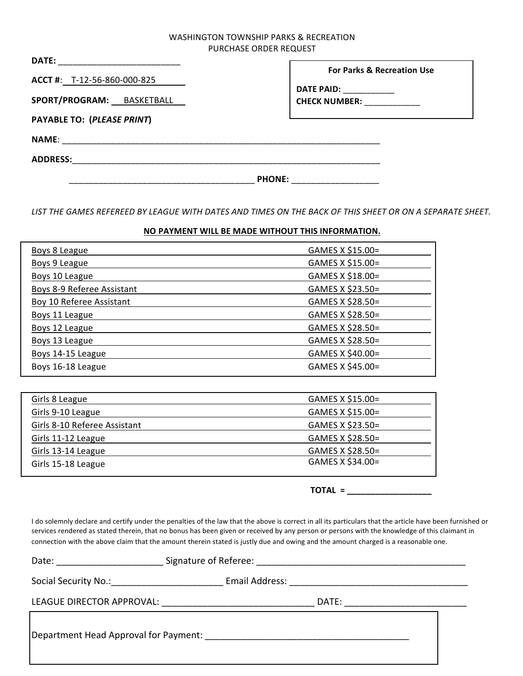## WASHINGTON TOWNSHIP PARKS & RECREATION PURCHASE ORDER REQUEST

| DATE: __________________________                         |                                                                                                       |
|----------------------------------------------------------|-------------------------------------------------------------------------------------------------------|
| ACCT #: T-12-56-860-000-825<br>SPORT/PROGRAM: BASKETBALL | <b>For Parks &amp; Recreation Use</b><br><b>DATE PAID:</b> ____________<br>CHECK NUMBER: ____________ |
| <b>PAYABLE TO: (PLEASE PRINT)</b>                        |                                                                                                       |
|                                                          |                                                                                                       |
| ADDRESS: _________________________                       |                                                                                                       |
|                                                          | <b>PHONE:</b>                                                                                         |

LIST THE GAMES REFEREED BY LEAGUE WITH DATES AND TIMES ON THE BACK OF THIS SHEET OR ON A SEPARATE SHEET.

## **NO PAYMENT WILL BE MADE WITHOUT THIS INFORMATION.**

| Boys 8 League              | GAMES X \$15.00= |
|----------------------------|------------------|
| Boys 9 League              | GAMES X \$15.00= |
| Boys 10 League             | GAMES X \$18.00= |
| Boys 8-9 Referee Assistant | GAMES X \$23.50= |
| Boy 10 Referee Assistant   | GAMES X \$28.50= |
| Boys 11 League             | GAMES X \$28.50= |
| Boys 12 League             | GAMES X \$28.50= |
| Boys 13 League             | GAMES X \$28.50= |
| Boys 14-15 League          | GAMES X \$40.00= |
| Boys 16-18 League          | GAMES X \$45.00= |
|                            |                  |

| Girls 8 League               | GAMES X \$15.00= |
|------------------------------|------------------|
| Girls 9-10 League            | GAMES X \$15.00= |
| Girls 8-10 Referee Assistant | GAMES X \$23.50= |
| Girls 11-12 League           | GAMES X \$28.50= |
| Girls 13-14 League           | GAMES X \$28.50= |
| Girls 15-18 League           | GAMES X \$34.00= |

**TOTAL = \_\_\_\_\_\_\_\_\_\_\_\_\_\_\_\_\_\_**

I do solemnly declare and certify under the penalties of the law that the above is correct in all its particulars that the article have been furnished or services rendered as stated therein, that no bonus has been given or received by any person or persons with the knowledge of this claimant in connection with the above claim that the amount therein stated is justly due and owing and the amount charged is a reasonable one.

| Date: <u>Date: Experimental and the set of the set of the set of the set of the set of the set of the set of the set of the set of the set of the set of the set of the set of the set of the set of the set of the set of the s</u> |  |       |  |
|--------------------------------------------------------------------------------------------------------------------------------------------------------------------------------------------------------------------------------------|--|-------|--|
|                                                                                                                                                                                                                                      |  |       |  |
|                                                                                                                                                                                                                                      |  | DATE: |  |
|                                                                                                                                                                                                                                      |  |       |  |